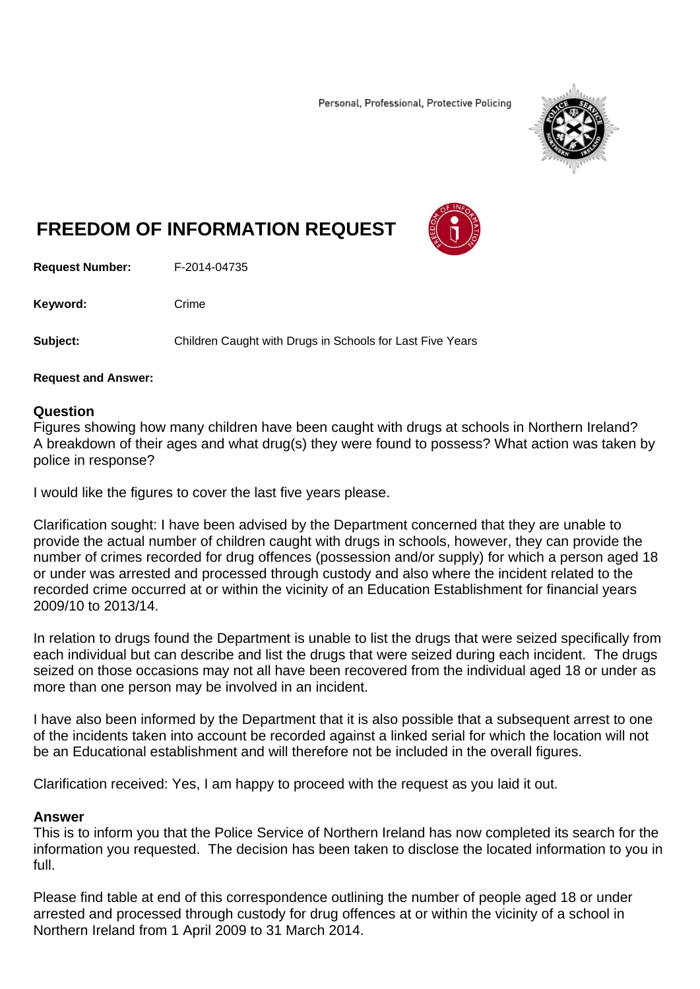Personal, Professional, Protective Policing



# **FREEDOM OF INFORMATION REQUEST**



**Request Number:** F-2014-04735

Keyword: Crime

**Subject:** Children Caught with Drugs in Schools for Last Five Years

#### **Request and Answer:**

## **Question**

Figures showing how many children have been caught with drugs at schools in Northern Ireland? A breakdown of their ages and what drug(s) they were found to possess? What action was taken by police in response?

I would like the figures to cover the last five years please.

Clarification sought: I have been advised by the Department concerned that they are unable to provide the actual number of children caught with drugs in schools, however, they can provide the number of crimes recorded for drug offences (possession and/or supply) for which a person aged 18 or under was arrested and processed through custody and also where the incident related to the recorded crime occurred at or within the vicinity of an Education Establishment for financial years 2009/10 to 2013/14.

In relation to drugs found the Department is unable to list the drugs that were seized specifically from each individual but can describe and list the drugs that were seized during each incident. The drugs seized on those occasions may not all have been recovered from the individual aged 18 or under as more than one person may be involved in an incident.

I have also been informed by the Department that it is also possible that a subsequent arrest to one of the incidents taken into account be recorded against a linked serial for which the location will not be an Educational establishment and will therefore not be included in the overall figures.

Clarification received: Yes, I am happy to proceed with the request as you laid it out.

## **Answer**

This is to inform you that the Police Service of Northern Ireland has now completed its search for the information you requested. The decision has been taken to disclose the located information to you in full.

Please find table at end of this correspondence outlining the number of people aged 18 or under arrested and processed through custody for drug offences at or within the vicinity of a school in Northern Ireland from 1 April 2009 to 31 March 2014.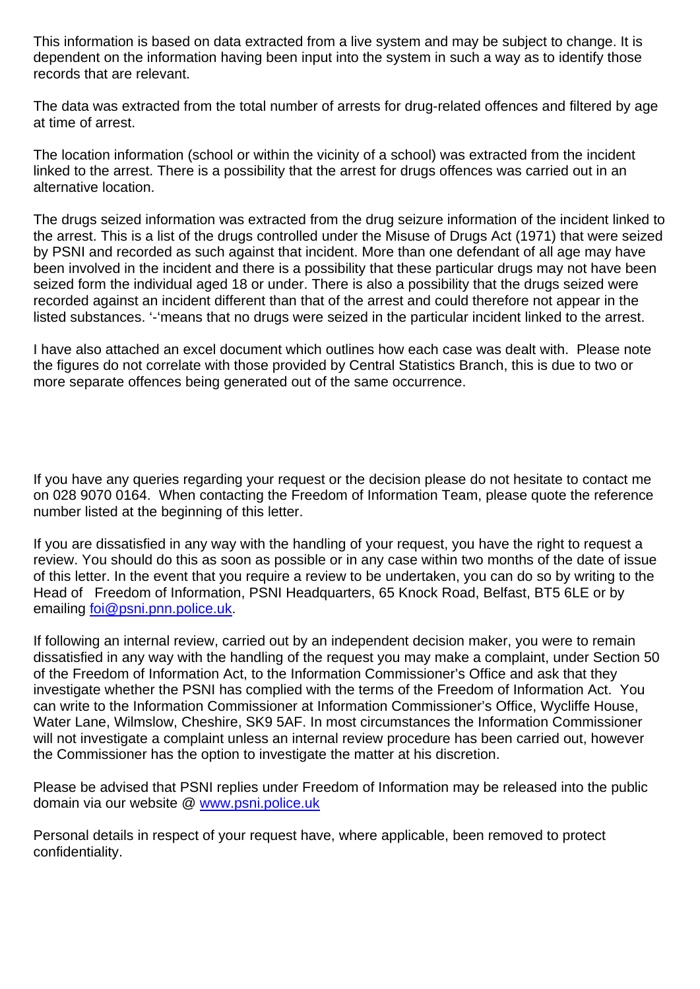This information is based on data extracted from a live system and may be subject to change. It is dependent on the information having been input into the system in such a way as to identify those records that are relevant.

The data was extracted from the total number of arrests for drug-related offences and filtered by age at time of arrest.

The location information (school or within the vicinity of a school) was extracted from the incident linked to the arrest. There is a possibility that the arrest for drugs offences was carried out in an alternative location.

The drugs seized information was extracted from the drug seizure information of the incident linked to the arrest. This is a list of the drugs controlled under the Misuse of Drugs Act (1971) that were seized by PSNI and recorded as such against that incident. More than one defendant of all age may have been involved in the incident and there is a possibility that these particular drugs may not have been seized form the individual aged 18 or under. There is also a possibility that the drugs seized were recorded against an incident different than that of the arrest and could therefore not appear in the listed substances. '-'means that no drugs were seized in the particular incident linked to the arrest.

I have also attached an excel document which outlines how each case was dealt with. Please note the figures do not correlate with those provided by Central Statistics Branch, this is due to two or more separate offences being generated out of the same occurrence.

If you have any queries regarding your request or the decision please do not hesitate to contact me on 028 9070 0164. When contacting the Freedom of Information Team, please quote the reference number listed at the beginning of this letter.

If you are dissatisfied in any way with the handling of your request, you have the right to request a review. You should do this as soon as possible or in any case within two months of the date of issue of this letter. In the event that you require a review to be undertaken, you can do so by writing to the Head of Freedom of Information, PSNI Headquarters, 65 Knock Road, Belfast, BT5 6LE or by emailing foi@psni.pnn.police.uk.

If following an internal review, carried out by an independent decision maker, you were to remain dissatisfied in any way with the handling of the request you may make a complaint, under Section 50 of the Freedom of Information Act, to the Information Commissioner's Office and ask that they investigate whether the PSNI has complied with the terms of the Freedom of Information Act. You can write to the Information Commissioner at Information Commissioner's Office, Wycliffe House, Water Lane, Wilmslow, Cheshire, SK9 5AF. In most circumstances the Information Commissioner will not investigate a complaint unless an internal review procedure has been carried out, however the Commissioner has the option to investigate the matter at his discretion.

Please be advised that PSNI replies under Freedom of Information may be released into the public domain via our website @ www.psni.police.uk

Personal details in respect of your request have, where applicable, been removed to protect confidentiality.